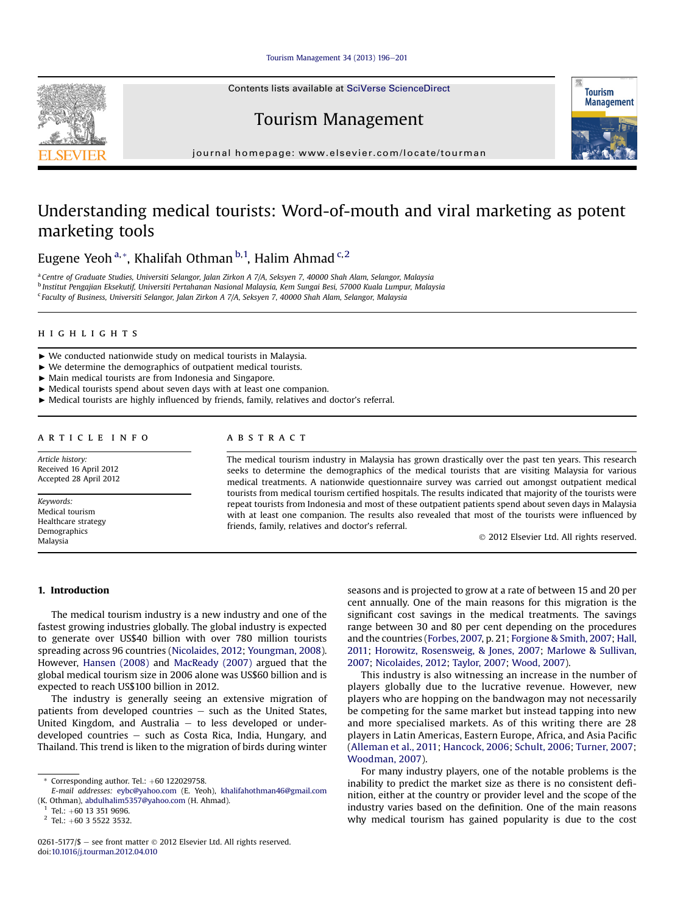#### [Tourism Management 34 \(2013\) 196](http://dx.doi.org/10.1016/j.tourman.2012.04.010)-[201](http://dx.doi.org/10.1016/j.tourman.2012.04.010)

Contents lists available at SciVerse ScienceDirect

## Tourism Management

journal homepage: [www.elsevier.com/locate/tourman](http://www.elsevier.com/locate/tourman)

## Understanding medical tourists: Word-of-mouth and viral marketing as potent marketing tools

Eugene Yeoh<sup>a,</sup>\*, Khalifah Othman <sup>b,1</sup>, Halim Ahmad <sup>c,2</sup>

a Centre of Graduate Studies, Universiti Selangor, Jalan Zirkon A 7/A, Seksyen 7, 40000 Shah Alam, Selangor, Malaysia <sup>b</sup> Institut Pengajian Eksekutif, Universiti Pertahanan Nasional Malaysia, Kem Sungai Besi, 57000 Kuala Lumpur, Malaysia <sup>c</sup> Faculty of Business, Universiti Selangor, Jalan Zirkon A 7/A, Seksyen 7, 40000 Shah Alam, Selangor, Malaysia

#### **HIGHLIGHTS** highlights are the control of

- $\triangleright$  We conducted nationwide study on medical tourists in Malaysia.
- $\blacktriangleright$  We determine the demographics of outpatient medical tourists.
- < Main medical tourists are from Indonesia and Singapore.
- $\blacktriangleright$  Medical tourists spend about seven days with at least one companion.
- < Medical tourists are highly influenced by friends, family, relatives and doctor's referral.

### **ARTICLE INFO**

Article history: Received 16 April 2012 Accepted 28 April 2012

Keywords: Medical tourism Healthcare strategy Demographics Malaysia

## ARSTRACT

The medical tourism industry in Malaysia has grown drastically over the past ten years. This research seeks to determine the demographics of the medical tourists that are visiting Malaysia for various medical treatments. A nationwide questionnaire survey was carried out amongst outpatient medical tourists from medical tourism certified hospitals. The results indicated that majority of the tourists were repeat tourists from Indonesia and most of these outpatient patients spend about seven days in Malaysia with at least one companion. The results also revealed that most of the tourists were influenced by friends, family, relatives and doctor's referral.

2012 Elsevier Ltd. All rights reserved.

## 1. Introduction

The medical tourism industry is a new industry and one of the fastest growing industries globally. The global industry is expected to generate over US\$40 billion with over 780 million tourists spreading across 96 countries [\(Nicolaides, 2012](#page--1-0); [Youngman, 2008\)](#page--1-0). However, [Hansen \(2008\)](#page--1-0) and [MacReady \(2007\)](#page--1-0) argued that the global medical tourism size in 2006 alone was US\$60 billion and is expected to reach US\$100 billion in 2012.

The industry is generally seeing an extensive migration of patients from developed countries  $-$  such as the United States, United Kingdom, and Australia  $-$  to less developed or underdeveloped countries  $-$  such as Costa Rica, India, Hungary, and Thailand. This trend is liken to the migration of birds during winter seasons and is projected to grow at a rate of between 15 and 20 per cent annually. One of the main reasons for this migration is the significant cost savings in the medical treatments. The savings range between 30 and 80 per cent depending on the procedures and the countries ([Forbes, 2007,](#page--1-0) p. 21; [Forgione & Smith, 2007](#page--1-0); [Hall,](#page--1-0) [2011;](#page--1-0) [Horowitz, Rosensweig, & Jones, 2007](#page--1-0); [Marlowe & Sullivan,](#page--1-0) [2007;](#page--1-0) [Nicolaides, 2012;](#page--1-0) [Taylor, 2007](#page--1-0); [Wood, 2007\)](#page--1-0).

This industry is also witnessing an increase in the number of players globally due to the lucrative revenue. However, new players who are hopping on the bandwagon may not necessarily be competing for the same market but instead tapping into new and more specialised markets. As of this writing there are 28 players in Latin Americas, Eastern Europe, Africa, and Asia Pacific ([Alleman et al., 2011](#page--1-0); [Hancock, 2006](#page--1-0); [Schult, 2006;](#page--1-0) [Turner, 2007](#page--1-0); [Woodman, 2007](#page--1-0)).

For many industry players, one of the notable problems is the inability to predict the market size as there is no consistent definition, either at the country or provider level and the scope of the industry varies based on the definition. One of the main reasons why medical tourism has gained popularity is due to the cost





Corresponding author. Tel.:  $+60$  122029758.

E-mail addresses: [eybc@yahoo.com](mailto:eybc@yahoo.com) (E. Yeoh), [khalifahothman46@gmail.com](mailto:khalifahothman46@gmail.com) (K. Othman), [abdulhalim5357@yahoo.com](mailto:abdulhalim5357@yahoo.com) (H. Ahmad).<br> $1$  Tel.: +60 13 351 9696.

 $2$  Tel.: +60 3 5522 3532.

 $0261-5177/\$$  - see front matter  $\degree$  2012 Elsevier Ltd. All rights reserved. doi:[10.1016/j.tourman.2012.04.010](http://dx.doi.org/10.1016/j.tourman.2012.04.010)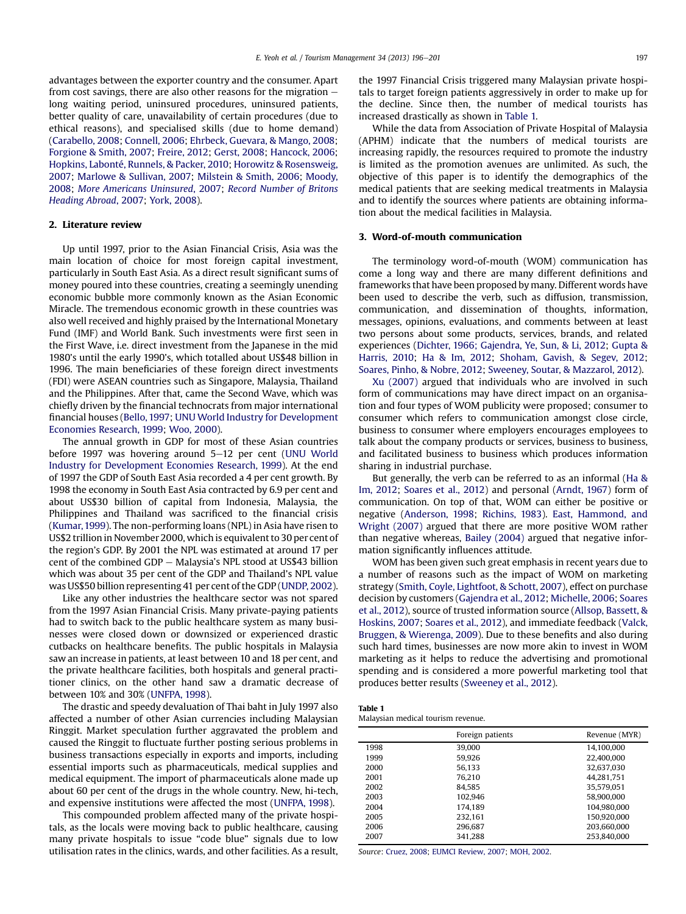advantages between the exporter country and the consumer. Apart from cost savings, there are also other reasons for the migration  $$ long waiting period, uninsured procedures, uninsured patients, better quality of care, unavailability of certain procedures (due to ethical reasons), and specialised skills (due to home demand) ([Carabello, 2008;](#page--1-0) [Connell, 2006](#page--1-0); [Ehrbeck, Guevara, & Mango, 2008;](#page--1-0) [Forgione & Smith, 2007;](#page--1-0) [Freire, 2012;](#page--1-0) [Gerst, 2008;](#page--1-0) [Hancock, 2006;](#page--1-0) [Hopkins, Labonté, Runnels, & Packer, 2010;](#page--1-0) [Horowitz & Rosensweig,](#page--1-0) [2007;](#page--1-0) [Marlowe & Sullivan, 2007;](#page--1-0) [Milstein & Smith, 2006;](#page--1-0) [Moody,](#page--1-0) [2008;](#page--1-0) [More Americans Uninsured](#page--1-0), 2007; [Record Number of Britons](#page--1-0) [Heading Abroad](#page--1-0), 2007; [York, 2008\)](#page--1-0).

## 2. Literature review

Up until 1997, prior to the Asian Financial Crisis, Asia was the main location of choice for most foreign capital investment, particularly in South East Asia. As a direct result significant sums of money poured into these countries, creating a seemingly unending economic bubble more commonly known as the Asian Economic Miracle. The tremendous economic growth in these countries was also well received and highly praised by the International Monetary Fund (IMF) and World Bank. Such investments were first seen in the First Wave, i.e. direct investment from the Japanese in the mid 1980's until the early 1990's, which totalled about US\$48 billion in 1996. The main beneficiaries of these foreign direct investments (FDI) were ASEAN countries such as Singapore, Malaysia, Thailand and the Philippines. After that, came the Second Wave, which was chiefly driven by the financial technocrats from major international financial houses [\(Bello, 1997](#page--1-0); [UNU World Industry for Development](#page--1-0) [Economies Research, 1999;](#page--1-0) [Woo, 2000](#page--1-0)).

The annual growth in GDP for most of these Asian countries before 1997 was hovering around  $5-12$  per cent ([UNU World](#page--1-0) [Industry for Development Economies Research, 1999\)](#page--1-0). At the end of 1997 the GDP of South East Asia recorded a 4 per cent growth. By 1998 the economy in South East Asia contracted by 6.9 per cent and about US\$30 billion of capital from Indonesia, Malaysia, the Philippines and Thailand was sacrificed to the financial crisis ([Kumar, 1999\)](#page--1-0). The non-performing loans (NPL) in Asia have risen to US\$2 trillion in November 2000, which is equivalent to 30 per cent of the region's GDP. By 2001 the NPL was estimated at around 17 per cent of the combined GDP - Malaysia's NPL stood at US\$43 billion which was about 35 per cent of the GDP and Thailand's NPL value was US\$50 billion representing 41 per cent of the GDP [\(UNDP, 2002\)](#page--1-0).

Like any other industries the healthcare sector was not spared from the 1997 Asian Financial Crisis. Many private-paying patients had to switch back to the public healthcare system as many businesses were closed down or downsized or experienced drastic cutbacks on healthcare benefits. The public hospitals in Malaysia saw an increase in patients, at least between 10 and 18 per cent, and the private healthcare facilities, both hospitals and general practitioner clinics, on the other hand saw a dramatic decrease of between 10% and 30% ([UNFPA, 1998\)](#page--1-0).

The drastic and speedy devaluation of Thai baht in July 1997 also affected a number of other Asian currencies including Malaysian Ringgit. Market speculation further aggravated the problem and caused the Ringgit to fluctuate further posting serious problems in business transactions especially in exports and imports, including essential imports such as pharmaceuticals, medical supplies and medical equipment. The import of pharmaceuticals alone made up about 60 per cent of the drugs in the whole country. New, hi-tech, and expensive institutions were affected the most ([UNFPA, 1998\)](#page--1-0).

This compounded problem affected many of the private hospitals, as the locals were moving back to public healthcare, causing many private hospitals to issue "code blue" signals due to low utilisation rates in the clinics, wards, and other facilities. As a result, the 1997 Financial Crisis triggered many Malaysian private hospitals to target foreign patients aggressively in order to make up for the decline. Since then, the number of medical tourists has increased drastically as shown in Table 1.

While the data from Association of Private Hospital of Malaysia (APHM) indicate that the numbers of medical tourists are increasing rapidly, the resources required to promote the industry is limited as the promotion avenues are unlimited. As such, the objective of this paper is to identify the demographics of the medical patients that are seeking medical treatments in Malaysia and to identify the sources where patients are obtaining information about the medical facilities in Malaysia.

### 3. Word-of-mouth communication

The terminology word-of-mouth (WOM) communication has come a long way and there are many different definitions and frameworks that have been proposed by many. Different words have been used to describe the verb, such as diffusion, transmission, communication, and dissemination of thoughts, information, messages, opinions, evaluations, and comments between at least two persons about some products, services, brands, and related experiences [\(Dichter, 1966; Gajendra, Ye, Sun, & Li, 2012;](#page--1-0) [Gupta &](#page--1-0) [Harris, 2010](#page--1-0); [Ha & Im, 2012;](#page--1-0) [Shoham, Gavish, & Segev, 2012;](#page--1-0) [Soares, Pinho, & Nobre, 2012;](#page--1-0) [Sweeney, Soutar, & Mazzarol, 2012](#page--1-0)).

[Xu \(2007\)](#page--1-0) argued that individuals who are involved in such form of communications may have direct impact on an organisation and four types of WOM publicity were proposed; consumer to consumer which refers to communication amongst close circle, business to consumer where employers encourages employees to talk about the company products or services, business to business, and facilitated business to business which produces information sharing in industrial purchase.

But generally, the verb can be referred to as an informal ([Ha &](#page--1-0) [Im, 2012](#page--1-0); [Soares et al., 2012](#page--1-0)) and personal [\(Arndt, 1967\)](#page--1-0) form of communication. On top of that, WOM can either be positive or negative [\(Anderson, 1998;](#page--1-0) [Richins,](#page--1-0) 1983). [East, Hammond, and](#page--1-0) [Wright \(2007\)](#page--1-0) argued that there are more positive WOM rather than negative whereas, [Bailey \(2004\)](#page--1-0) argued that negative information significantly influences attitude.

WOM has been given such great emphasis in recent years due to a number of reasons such as the impact of WOM on marketing strategy ([Smith, Coyle, Lightfoot, & Schott, 2007](#page--1-0)), effect on purchase decision by customers ([Gajendra et al., 2012;](#page--1-0) [Michelle, 2006;](#page--1-0) [Soares](#page--1-0) [et al., 2012](#page--1-0)), source of trusted information source [\(Allsop, Bassett, &](#page--1-0) [Hoskins, 2007;](#page--1-0) [Soares et al., 2012\)](#page--1-0), and immediate feedback [\(Valck,](#page--1-0) [Bruggen, & Wierenga, 2009\)](#page--1-0). Due to these benefits and also during such hard times, businesses are now more akin to invest in WOM marketing as it helps to reduce the advertising and promotional spending and is considered a more powerful marketing tool that produces better results [\(Sweeney et al., 2012](#page--1-0)).

| Table 1                            |  |  |
|------------------------------------|--|--|
| Malaysian medical tourism revenue. |  |  |

|      | Foreign patients | Revenue (MYR) |
|------|------------------|---------------|
| 1998 | 39,000           | 14.100.000    |
| 1999 | 59.926           | 22,400,000    |
| 2000 | 56.133           | 32,637,030    |
| 2001 | 76.210           | 44,281,751    |
| 2002 | 84.585           | 35.579.051    |
| 2003 | 102.946          | 58.900.000    |
| 2004 | 174.189          | 104.980.000   |
| 2005 | 232.161          | 150.920.000   |
| 2006 | 296.687          | 203.660.000   |
| 2007 | 341.288          | 253.840.000   |

Source: [Cruez, 2008](#page--1-0); [EUMCI Review, 2007;](#page--1-0) [MOH, 2002](#page--1-0).